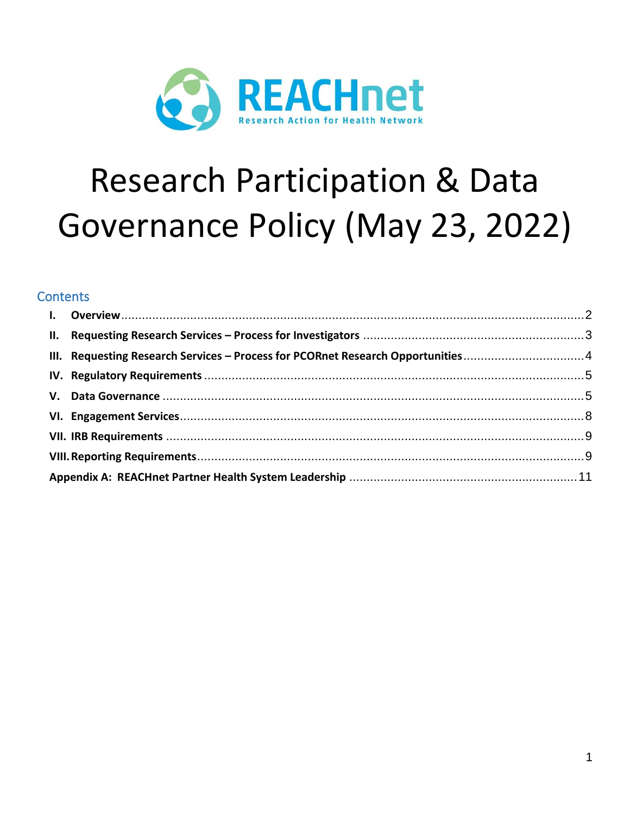

# **Research Participation & Data** Governance Policy (May 23, 2022)

# **Contents**

|  | III. Requesting Research Services - Process for PCORnet Research Opportunities4 |  |  |  |
|--|---------------------------------------------------------------------------------|--|--|--|
|  |                                                                                 |  |  |  |
|  |                                                                                 |  |  |  |
|  |                                                                                 |  |  |  |
|  |                                                                                 |  |  |  |
|  |                                                                                 |  |  |  |
|  |                                                                                 |  |  |  |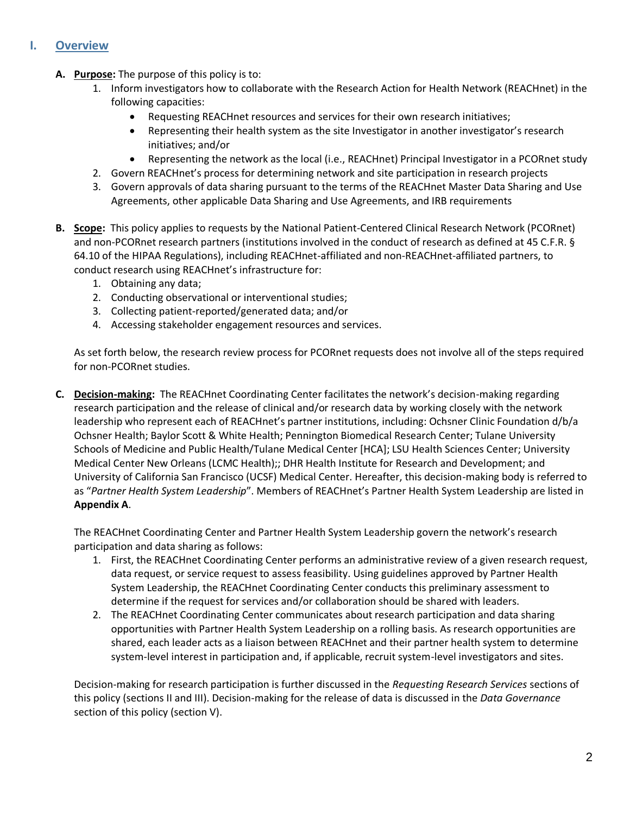## <span id="page-1-0"></span>**I. Overview**

- **A. Purpose:** The purpose of this policy is to:
	- 1. Inform investigators how to collaborate with the Research Action for Health Network (REACHnet) in the following capacities:
		- Requesting REACHnet resources and services for their own research initiatives;
		- Representing their health system as the site Investigator in another investigator's research initiatives; and/or
		- Representing the network as the local (i.e., REACHnet) Principal Investigator in a PCORnet study
	- 2. Govern REACHnet's process for determining network and site participation in research projects
	- 3. Govern approvals of data sharing pursuant to the terms of the REACHnet Master Data Sharing and Use Agreements, other applicable Data Sharing and Use Agreements, and IRB requirements
- **B. Scope:** This policy applies to requests by the National Patient-Centered Clinical Research Network (PCORnet) and non-PCORnet research partners (institutions involved in the conduct of research as defined at 45 C.F.R. § 64.10 of the HIPAA Regulations), including REACHnet-affiliated and non-REACHnet-affiliated partners, to conduct research using REACHnet's infrastructure for:
	- 1. Obtaining any data;
	- 2. Conducting observational or interventional studies;
	- 3. Collecting patient-reported/generated data; and/or
	- 4. Accessing stakeholder engagement resources and services.

As set forth below, the research review process for PCORnet requests does not involve all of the steps required for non-PCORnet studies.

**C. Decision-making:** The REACHnet Coordinating Center facilitates the network's decision-making regarding research participation and the release of clinical and/or research data by working closely with the network leadership who represent each of REACHnet's partner institutions, including: Ochsner Clinic Foundation d/b/a Ochsner Health; Baylor Scott & White Health; Pennington Biomedical Research Center; Tulane University Schools of Medicine and Public Health/Tulane Medical Center [HCA]; LSU Health Sciences Center; University Medical Center New Orleans (LCMC Health);; DHR Health Institute for Research and Development; and University of California San Francisco (UCSF) Medical Center. Hereafter, this decision-making body is referred to as "*Partner Health System Leadership*". Members of REACHnet's Partner Health System Leadership are listed in **Appendix A**.

The REACHnet Coordinating Center and Partner Health System Leadership govern the network's research participation and data sharing as follows:

- 1. First, the REACHnet Coordinating Center performs an administrative review of a given research request, data request, or service request to assess feasibility. Using guidelines approved by Partner Health System Leadership, the REACHnet Coordinating Center conducts this preliminary assessment to determine if the request for services and/or collaboration should be shared with leaders.
- 2. The REACHnet Coordinating Center communicates about research participation and data sharing opportunities with Partner Health System Leadership on a rolling basis. As research opportunities are shared, each leader acts as a liaison between REACHnet and their partner health system to determine system-level interest in participation and, if applicable, recruit system-level investigators and sites.

Decision-making for research participation is further discussed in the *Requesting Research Services* sections of this policy (sections II and III). Decision-making for the release of data is discussed in the *Data Governance*  section of this policy (section V).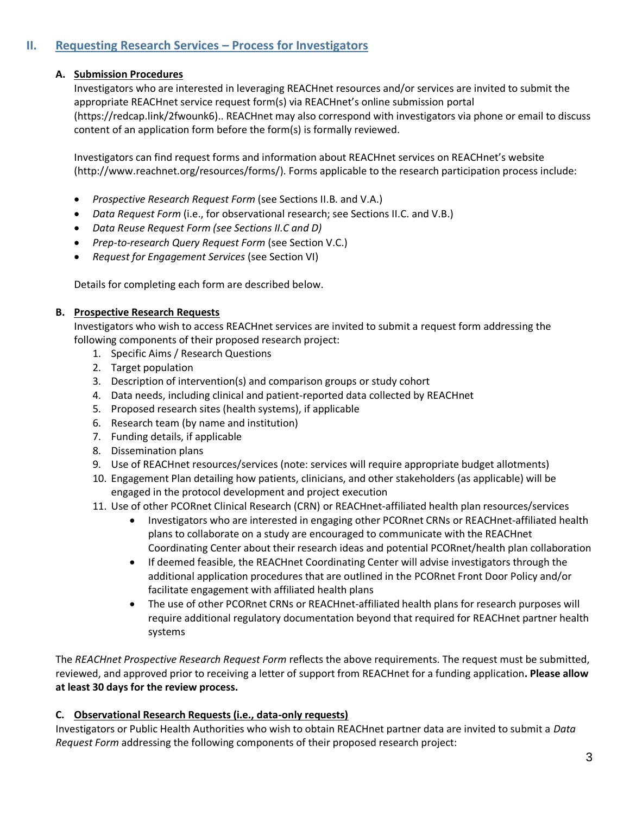## <span id="page-2-0"></span>**II. Requesting Research Services – Process for Investigators**

#### **A. Submission Procedures**

Investigators who are interested in leveraging REACHnet resources and/or services are invited to submit the appropriate REACHnet service request form(s) via REACHnet's online submission portal (https://redcap.link/2fwounk6).. REACHnet may also correspond with investigators via phone or email to discuss content of an application form before the form(s) is formally reviewed.

Investigators can find request forms and information about REACHnet services on REACHnet's website [\(http://www.reachnet.org/resources/forms/\)](http://www.reachnet.org/resources/forms/). Forms applicable to the research participation process include:

- *Prospective Research Request Form* (see Sections II.B. and V.A.)
- *Data Request Form* (i.e., for observational research; see Sections II.C. and V.B.)
- *Data Reuse Request Form (see Sections II.C and D)*
- *Prep-to-research Query Request Form* (see Section V.C.)
- *Request for Engagement Services* (see Section VI)

Details for completing each form are described below.

#### **B. Prospective Research Requests**

Investigators who wish to access REACHnet services are invited to submit a request form addressing the following components of their proposed research project:

- 1. Specific Aims / Research Questions
- 2. Target population
- 3. Description of intervention(s) and comparison groups or study cohort
- 4. Data needs, including clinical and patient-reported data collected by REACHnet
- 5. Proposed research sites (health systems), if applicable
- 6. Research team (by name and institution)
- 7. Funding details, if applicable
- 8. Dissemination plans
- 9. Use of REACHnet resources/services (note: services will require appropriate budget allotments)
- 10. Engagement Plan detailing how patients, clinicians, and other stakeholders (as applicable) will be engaged in the protocol development and project execution
- 11. Use of other PCORnet Clinical Research (CRN) or REACHnet-affiliated health plan resources/services
	- Investigators who are interested in engaging other PCORnet CRNs or REACHnet-affiliated health plans to collaborate on a study are encouraged to communicate with the REACHnet Coordinating Center about their research ideas and potential PCORnet/health plan collaboration
	- If deemed feasible, the REACHnet Coordinating Center will advise investigators through the additional application procedures that are outlined in th[e PCORnet Front Door](http://pcornet.org/frontdoor/) Policy and/or facilitate engagement with affiliated health plans
	- The use of other PCORnet CRNs or REACHnet-affiliated health plans for research purposes will require additional regulatory documentation beyond that required for REACHnet partner health systems

The *REACHnet Prospective Research Request Form* reflects the above requirements. The request must be submitted, reviewed, and approved prior to receiving a letter of support from REACHnet for a funding application**. Please allow at least 30 days for the review process.**

#### **C. Observational Research Requests (i.e., data-only requests)**

Investigators or Public Health Authorities who wish to obtain REACHnet partner data are invited to submit a *Data Request Form* addressing the following components of their proposed research project: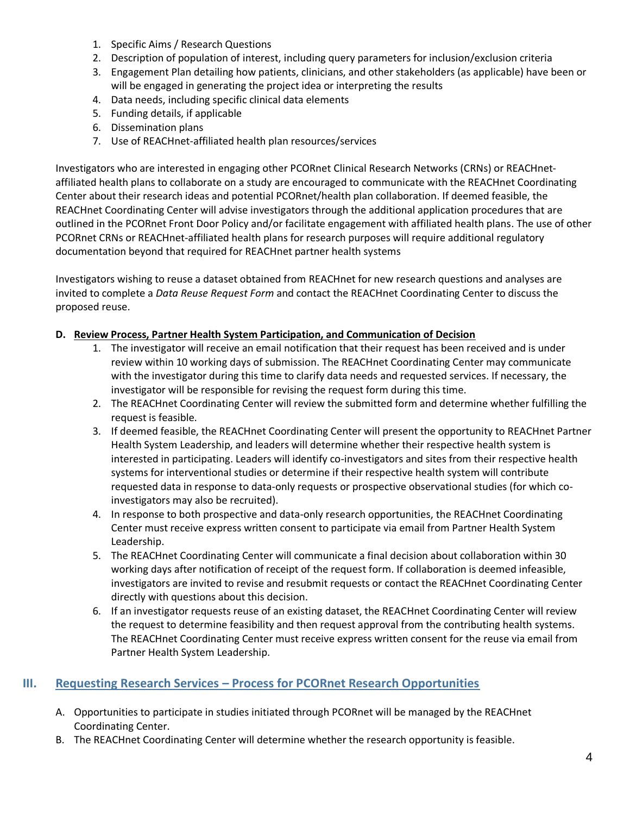- 1. Specific Aims / Research Questions
- 2. Description of population of interest, including query parameters for inclusion/exclusion criteria
- 3. Engagement Plan detailing how patients, clinicians, and other stakeholders (as applicable) have been or will be engaged in generating the project idea or interpreting the results
- 4. Data needs, including specific clinical data elements
- 5. Funding details, if applicable
- 6. Dissemination plans
- 7. Use of REACHnet-affiliated health plan resources/services

Investigators who are interested in engaging other PCORnet Clinical Research Networks (CRNs) or REACHnetaffiliated health plans to collaborate on a study are encouraged to communicate with the REACHnet Coordinating Center about their research ideas and potential PCORnet/health plan collaboration. If deemed feasible, the REACHnet Coordinating Center will advise investigators through the additional application procedures that are outlined in the [PCORnet Front Door](http://pcornet.org/frontdoor/) Policy and/or facilitate engagement with affiliated health plans. The use of other PCORnet CRNs or REACHnet-affiliated health plans for research purposes will require additional regulatory documentation beyond that required for REACHnet partner health systems

Investigators wishing to reuse a dataset obtained from REACHnet for new research questions and analyses are invited to complete a *Data Reuse Request Form* and contact the REACHnet Coordinating Center to discuss the proposed reuse.

#### **D. Review Process, Partner Health System Participation, and Communication of Decision**

- 1. The investigator will receive an email notification that their request has been received and is under review within 10 working days of submission. The REACHnet Coordinating Center may communicate with the investigator during this time to clarify data needs and requested services. If necessary, the investigator will be responsible for revising the request form during this time.
- 2. The REACHnet Coordinating Center will review the submitted form and determine whether fulfilling the request is feasible.
- 3. If deemed feasible, the REACHnet Coordinating Center will present the opportunity to REACHnet Partner Health System Leadership, and leaders will determine whether their respective health system is interested in participating. Leaders will identify co-investigators and sites from their respective health systems for interventional studies or determine if their respective health system will contribute requested data in response to data-only requests or prospective observational studies (for which coinvestigators may also be recruited).
- 4. In response to both prospective and data-only research opportunities, the REACHnet Coordinating Center must receive express written consent to participate via email from Partner Health System Leadership.
- 5. The REACHnet Coordinating Center will communicate a final decision about collaboration within 30 working days after notification of receipt of the request form. If collaboration is deemed infeasible, investigators are invited to revise and resubmit requests or contact the REACHnet Coordinating Center directly with questions about this decision.
- 6. If an investigator requests reuse of an existing dataset, the REACHnet Coordinating Center will review the request to determine feasibility and then request approval from the contributing health systems. The REACHnet Coordinating Center must receive express written consent for the reuse via email from Partner Health System Leadership.

### <span id="page-3-0"></span>**III.** Requesting Research Services – Process for PCORnet Research Opportunities

- A. Opportunities to participate in studies initiated through PCORnet will be managed by the REACHnet Coordinating Center.
- B. The REACHnet Coordinating Center will determine whether the research opportunity is feasible.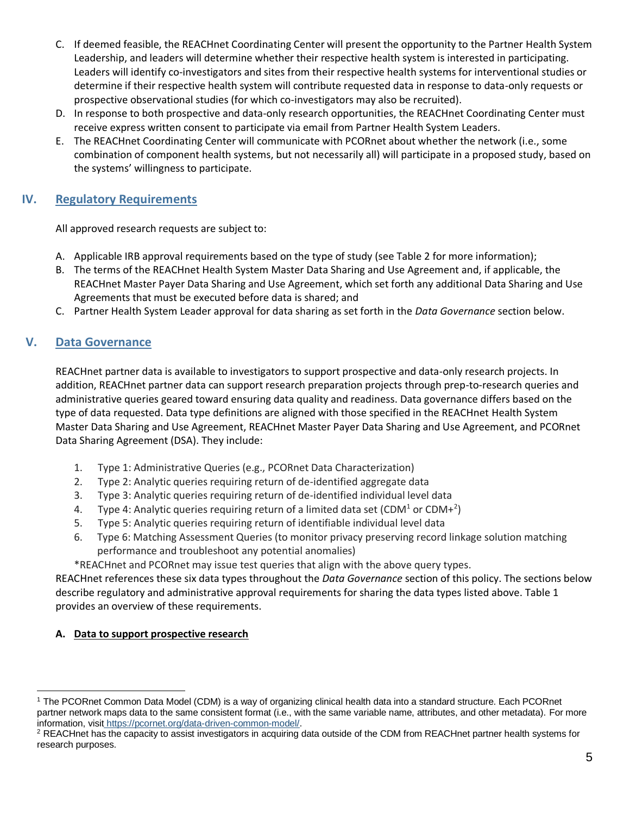- C. If deemed feasible, the REACHnet Coordinating Center will present the opportunity to the Partner Health System Leadership, and leaders will determine whether their respective health system is interested in participating. Leaders will identify co-investigators and sites from their respective health systems for interventional studies or determine if their respective health system will contribute requested data in response to data-only requests or prospective observational studies (for which co-investigators may also be recruited).
- D. In response to both prospective and data-only research opportunities, the REACHnet Coordinating Center must receive express written consent to participate via email from Partner Health System Leaders.
- E. The REACHnet Coordinating Center will communicate with PCORnet about whether the network (i.e., some combination of component health systems, but not necessarily all) will participate in a proposed study, based on the systems' willingness to participate.

## <span id="page-4-0"></span>**IV. Regulatory Requirements**

All approved research requests are subject to:

- A. Applicable IRB approval requirements based on the type of study (see Table 2 for more information);
- B. The terms of the REACHnet Health System Master Data Sharing and Use Agreement and, if applicable, the REACHnet Master Payer Data Sharing and Use Agreement, which set forth any additional Data Sharing and Use Agreements that must be executed before data is shared; and
- C. Partner Health System Leader approval for data sharing as set forth in the *Data Governance* section below.

# <span id="page-4-1"></span>**V. Data Governance**

REACHnet partner data is available to investigators to support prospective and data-only research projects. In addition, REACHnet partner data can support research preparation projects through prep-to-research queries and administrative queries geared toward ensuring data quality and readiness. Data governance differs based on the type of data requested. Data type definitions are aligned with those specified in the REACHnet Health System Master Data Sharing and Use Agreement, REACHnet Master Payer Data Sharing and Use Agreement, and PCORnet Data Sharing Agreement (DSA). They include:

- 1. Type 1: Administrative Queries (e.g., PCORnet Data Characterization)
- 2. Type 2: Analytic queries requiring return of de-identified aggregate data
- 3. Type 3: Analytic queries requiring return of de-identified individual level data
- 4. Type 4: Analytic queries requiring return of a limited data set (CDM<sup>1</sup> or CDM+<sup>2</sup>)
- 5. Type 5: Analytic queries requiring return of identifiable individual level data
- 6. Type 6: Matching Assessment Queries (to monitor privacy preserving record linkage solution matching performance and troubleshoot any potential anomalies)

\*REACHnet and PCORnet may issue test queries that align with the above query types.

REACHnet references these six data types throughout the *Data Governance* section of this policy. The sections below describe regulatory and administrative approval requirements for sharing the data types listed above. Table 1 provides an overview of these requirements.

## **A. Data to support prospective research**

<sup>1</sup> The PCORnet Common Data Model (CDM) is a way of organizing clinical health data into a standard structure. Each PCORnet partner network maps data to the same consistent format (i.e., with the same variable name, attributes, and other metadata). For more information, visit https://pcornet.org/data-driven-common-model/.

<sup>&</sup>lt;sup>2</sup> REACHnet has the capacity to assist investigators in acquiring data outside of the CDM from REACHnet partner health systems for research purposes.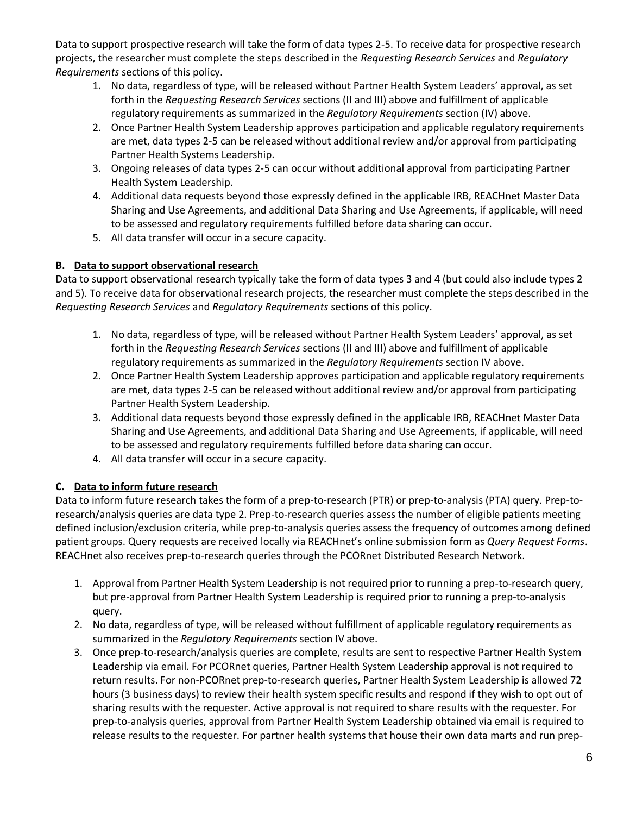Data to support prospective research will take the form of data types 2-5. To receive data for prospective research projects, the researcher must complete the steps described in the *Requesting Research Services* and *Regulatory Requirements* sections of this policy.

- 1. No data, regardless of type, will be released without Partner Health System Leaders' approval, as set forth in the *Requesting Research Services* sections (II and III) above and fulfillment of applicable regulatory requirements as summarized in the *Regulatory Requirements* section (IV) above.
- 2. Once Partner Health System Leadership approves participation and applicable regulatory requirements are met, data types 2-5 can be released without additional review and/or approval from participating Partner Health Systems Leadership.
- 3. Ongoing releases of data types 2-5 can occur without additional approval from participating Partner Health System Leadership.
- 4. Additional data requests beyond those expressly defined in the applicable IRB, REACHnet Master Data Sharing and Use Agreements, and additional Data Sharing and Use Agreements, if applicable, will need to be assessed and regulatory requirements fulfilled before data sharing can occur.
- 5. All data transfer will occur in a secure capacity.

## **B. Data to support observational research**

Data to support observational research typically take the form of data types 3 and 4 (but could also include types 2 and 5). To receive data for observational research projects, the researcher must complete the steps described in the *Requesting Research Services* and *Regulatory Requirements* sections of this policy.

- 1. No data, regardless of type, will be released without Partner Health System Leaders' approval, as set forth in the *Requesting Research Services* sections (II and III) above and fulfillment of applicable regulatory requirements as summarized in the *Regulatory Requirements* section IV above.
- 2. Once Partner Health System Leadership approves participation and applicable regulatory requirements are met, data types 2-5 can be released without additional review and/or approval from participating Partner Health System Leadership.
- 3. Additional data requests beyond those expressly defined in the applicable IRB, REACHnet Master Data Sharing and Use Agreements, and additional Data Sharing and Use Agreements, if applicable, will need to be assessed and regulatory requirements fulfilled before data sharing can occur.
- 4. All data transfer will occur in a secure capacity.

## **C. Data to inform future research**

Data to inform future research takes the form of a prep-to-research (PTR) or prep-to-analysis (PTA) query. Prep-toresearch/analysis queries are data type 2. Prep-to-research queries assess the number of eligible patients meeting defined inclusion/exclusion criteria, while prep-to-analysis queries assess the frequency of outcomes among defined patient groups. Query requests are received locally via REACHnet's online submission form as *Query Request Forms*. REACHnet also receives prep-to-research queries through the PCORnet Distributed Research Network.

- 1. Approval from Partner Health System Leadership is not required prior to running a prep-to-research query, but pre-approval from Partner Health System Leadership is required prior to running a prep-to-analysis query.
- 2. No data, regardless of type, will be released without fulfillment of applicable regulatory requirements as summarized in the *Regulatory Requirements* section IV above.
- 3. Once prep-to-research/analysis queries are complete, results are sent to respective Partner Health System Leadership via email. For PCORnet queries, Partner Health System Leadership approval is not required to return results. For non-PCORnet prep-to-research queries, Partner Health System Leadership is allowed 72 hours (3 business days) to review their health system specific results and respond if they wish to opt out of sharing results with the requester. Active approval is not required to share results with the requester. For prep-to-analysis queries, approval from Partner Health System Leadership obtained via email is required to release results to the requester. For partner health systems that house their own data marts and run prep-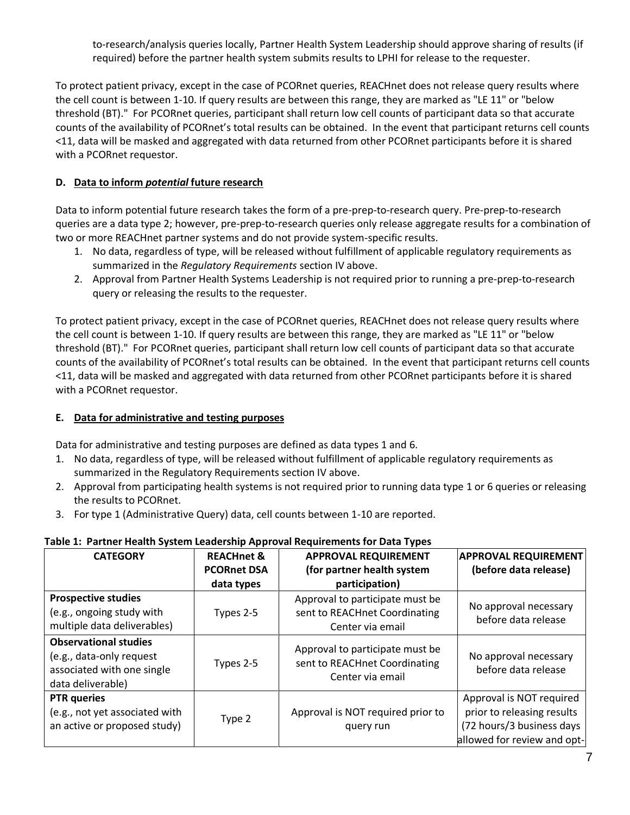to-research/analysis queries locally, Partner Health System Leadership should approve sharing of results (if required) before the partner health system submits results to LPHI for release to the requester.

To protect patient privacy, except in the case of PCORnet queries, REACHnet does not release query results where the cell count is between 1-10. If query results are between this range, they are marked as "LE 11" or "below threshold (BT)." For PCORnet queries, participant shall return low cell counts of participant data so that accurate counts of the availability of PCORnet's total results can be obtained. In the event that participant returns cell counts <11, data will be masked and aggregated with data returned from other PCORnet participants before it is shared with a PCORnet requestor.

#### **D. Data to inform** *potential* **future research**

Data to inform potential future research takes the form of a pre-prep-to-research query. Pre-prep-to-research queries are a data type 2; however, pre-prep-to-research queries only release aggregate results for a combination of two or more REACHnet partner systems and do not provide system-specific results.

- 1. No data, regardless of type, will be released without fulfillment of applicable regulatory requirements as summarized in the *Regulatory Requirements* section IV above.
- 2. Approval from Partner Health Systems Leadership is not required prior to running a pre-prep-to-research query or releasing the results to the requester.

To protect patient privacy, except in the case of PCORnet queries, REACHnet does not release query results where the cell count is between 1-10. If query results are between this range, they are marked as "LE 11" or "below threshold (BT)." For PCORnet queries, participant shall return low cell counts of participant data so that accurate counts of the availability of PCORnet's total results can be obtained. In the event that participant returns cell counts <11, data will be masked and aggregated with data returned from other PCORnet participants before it is shared with a PCORnet requestor.

#### **E. Data for administrative and testing purposes**

Data for administrative and testing purposes are defined as data types 1 and 6.

- 1. No data, regardless of type, will be released without fulfillment of applicable regulatory requirements as summarized in the Regulatory Requirements section IV above.
- 2. Approval from participating health systems is not required prior to running data type 1 or 6 queries or releasing the results to PCORnet.
- 3. For type 1 (Administrative Query) data, cell counts between 1-10 are reported.

#### **Table 1: Partner Health System Leadership Approval Requirements for Data Types**

| <b>CATEGORY</b>                                                                                             | <b>REACHnet &amp;</b><br><b>PCORnet DSA</b><br>data types | <b>APPROVAL REQUIREMENT</b><br>(for partner health system<br>participation)          | <b>APPROVAL REQUIREMENT</b><br>(before data release)                                                               |
|-------------------------------------------------------------------------------------------------------------|-----------------------------------------------------------|--------------------------------------------------------------------------------------|--------------------------------------------------------------------------------------------------------------------|
| <b>Prospective studies</b><br>(e.g., ongoing study with<br>multiple data deliverables)                      | Types 2-5                                                 | Approval to participate must be<br>sent to REACHnet Coordinating<br>Center via email | No approval necessary<br>before data release                                                                       |
| <b>Observational studies</b><br>(e.g., data-only request<br>associated with one single<br>data deliverable) | Types 2-5                                                 | Approval to participate must be<br>sent to REACHnet Coordinating<br>Center via email | No approval necessary<br>before data release                                                                       |
| <b>PTR</b> queries<br>(e.g., not yet associated with<br>an active or proposed study)                        | Type 2                                                    | Approval is NOT required prior to<br>query run                                       | Approval is NOT required<br>prior to releasing results<br>(72 hours/3 business days<br>allowed for review and opt- |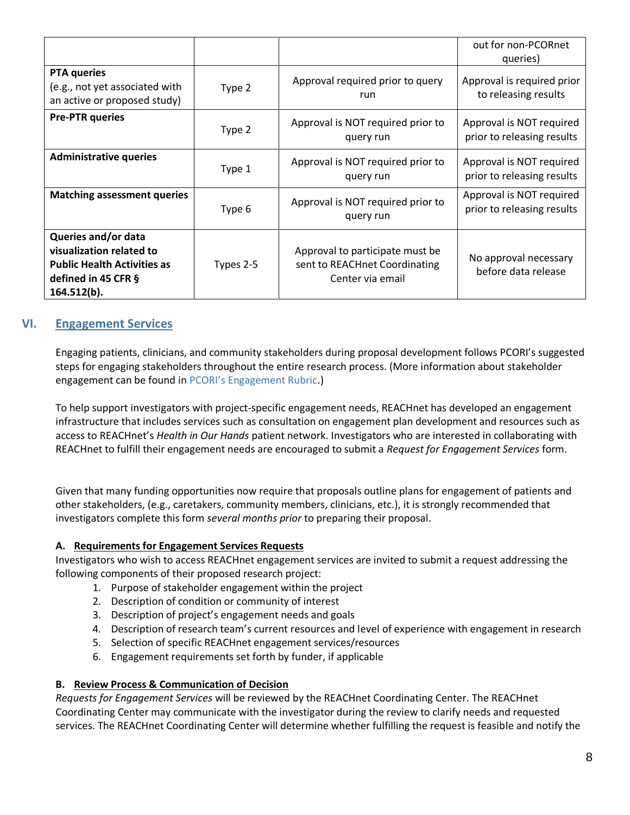|                                                                                                                             |           |                                                                                      | out for non-PCORnet<br>queries)                        |
|-----------------------------------------------------------------------------------------------------------------------------|-----------|--------------------------------------------------------------------------------------|--------------------------------------------------------|
| <b>PTA</b> queries<br>(e.g., not yet associated with<br>an active or proposed study)                                        | Type 2    | Approval required prior to query<br>run                                              | Approval is required prior<br>to releasing results     |
| <b>Pre-PTR queries</b>                                                                                                      | Type 2    | Approval is NOT required prior to<br>query run                                       | Approval is NOT required<br>prior to releasing results |
| <b>Administrative queries</b>                                                                                               | Type 1    | Approval is NOT required prior to<br>query run                                       | Approval is NOT required<br>prior to releasing results |
| <b>Matching assessment queries</b>                                                                                          | Type 6    | Approval is NOT required prior to<br>query run                                       | Approval is NOT required<br>prior to releasing results |
| Queries and/or data<br>visualization related to<br><b>Public Health Activities as</b><br>defined in 45 CFR §<br>164.512(b). | Types 2-5 | Approval to participate must be<br>sent to REACHnet Coordinating<br>Center via email | No approval necessary<br>before data release           |

## <span id="page-7-0"></span>**VI. Engagement Services**

Engaging patients, clinicians, and community stakeholders during proposal development follows PCORI's suggested steps for engaging stakeholders throughout the entire research process. (More information about stakeholder engagement can be found in [PCORI's Engagement Rubric](http://www.pcori.org/sites/default/files/Engagement-Rubric.pdf).)

To help support investigators with project-specific engagement needs, REACHnet has developed an engagement infrastructure that includes services such as consultation on engagement plan development and resources such as access to REACHnet's *Health in Our Hands* patient network. Investigators who are interested in collaborating with REACHnet to fulfill their engagement needs are encouraged to submit a *Request for Engagement Services* form.

Given that many funding opportunities now require that proposals outline plans for engagement of patients and other stakeholders, (e.g., caretakers, community members, clinicians, etc.), it is strongly recommended that investigators complete this form *several months prior* to preparing their proposal.

#### **A. Requirements for Engagement Services Requests**

Investigators who wish to access REACHnet engagement services are invited to submit a request addressing the following components of their proposed research project:

- 1. Purpose of stakeholder engagement within the project
- 2. Description of condition or community of interest
- 3. Description of project's engagement needs and goals
- 4. Description of research team's current resources and level of experience with engagement in research
- 5. Selection of specific REACHnet engagement services/resources
- 6. Engagement requirements set forth by funder, if applicable

#### **B. Review Process & Communication of Decision**

*Requests for Engagement Services* will be reviewed by the REACHnet Coordinating Center. The REACHnet Coordinating Center may communicate with the investigator during the review to clarify needs and requested services. The REACHnet Coordinating Center will determine whether fulfilling the request is feasible and notify the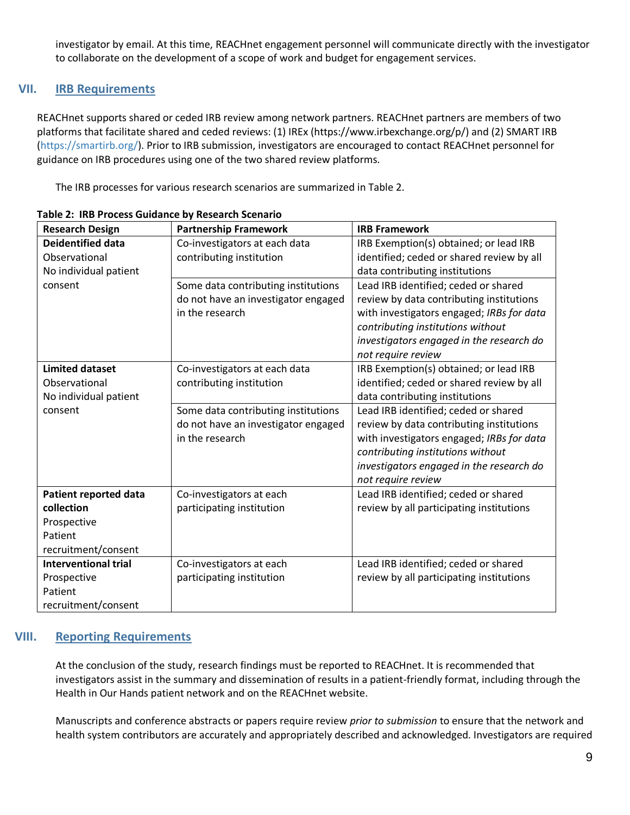investigator by email. At this time, REACHnet engagement personnel will communicate directly with the investigator to collaborate on the development of a scope of work and budget for engagement services.

### <span id="page-8-0"></span>**VII. IRB Requirements**

REACHnet supports shared or ceded IRB review among network partners. REACHnet partners are members of two platforms that facilitate shared and ceded reviews: (1) IREx (https://www.irbexchange.org/p/) and (2) SMART IRB [\(https://smartirb.org/\)](https://smartirb.org/). Prior to IRB submission, investigators are encouraged to contact REACHnet personnel for guidance on IRB procedures using one of the two shared review platforms.

The IRB processes for various research scenarios are summarized in Table 2.

| <b>Research Design</b>      | <b>Partnership Framework</b>        | <b>IRB Framework</b>                      |
|-----------------------------|-------------------------------------|-------------------------------------------|
| <b>Deidentified data</b>    | Co-investigators at each data       | IRB Exemption(s) obtained; or lead IRB    |
| Observational               | contributing institution            | identified; ceded or shared review by all |
| No individual patient       |                                     | data contributing institutions            |
| consent                     | Some data contributing institutions | Lead IRB identified; ceded or shared      |
|                             | do not have an investigator engaged | review by data contributing institutions  |
|                             | in the research                     | with investigators engaged; IRBs for data |
|                             |                                     | contributing institutions without         |
|                             |                                     | investigators engaged in the research do  |
|                             |                                     | not require review                        |
| <b>Limited dataset</b>      | Co-investigators at each data       | IRB Exemption(s) obtained; or lead IRB    |
| Observational               | contributing institution            | identified; ceded or shared review by all |
| No individual patient       |                                     | data contributing institutions            |
| consent                     | Some data contributing institutions | Lead IRB identified; ceded or shared      |
|                             | do not have an investigator engaged | review by data contributing institutions  |
|                             | in the research                     | with investigators engaged; IRBs for data |
|                             |                                     | contributing institutions without         |
|                             |                                     | investigators engaged in the research do  |
|                             |                                     | not require review                        |
| Patient reported data       | Co-investigators at each            | Lead IRB identified; ceded or shared      |
| collection                  | participating institution           | review by all participating institutions  |
| Prospective                 |                                     |                                           |
| Patient                     |                                     |                                           |
| recruitment/consent         |                                     |                                           |
| <b>Interventional trial</b> | Co-investigators at each            | Lead IRB identified; ceded or shared      |
| Prospective                 | participating institution           | review by all participating institutions  |
| Patient                     |                                     |                                           |
| recruitment/consent         |                                     |                                           |

**Table 2: IRB Process Guidance by Research Scenario** 

# <span id="page-8-1"></span>**VIII. Reporting Requirements**

At the conclusion of the study, research findings must be reported to REACHnet. It is recommended that investigators assist in the summary and dissemination of results in a patient-friendly format, including through the Health in Our Hands patient network and on the REACHnet website.

Manuscripts and conference abstracts or papers require review *prior to submission* to ensure that the network and health system contributors are accurately and appropriately described and acknowledged. Investigators are required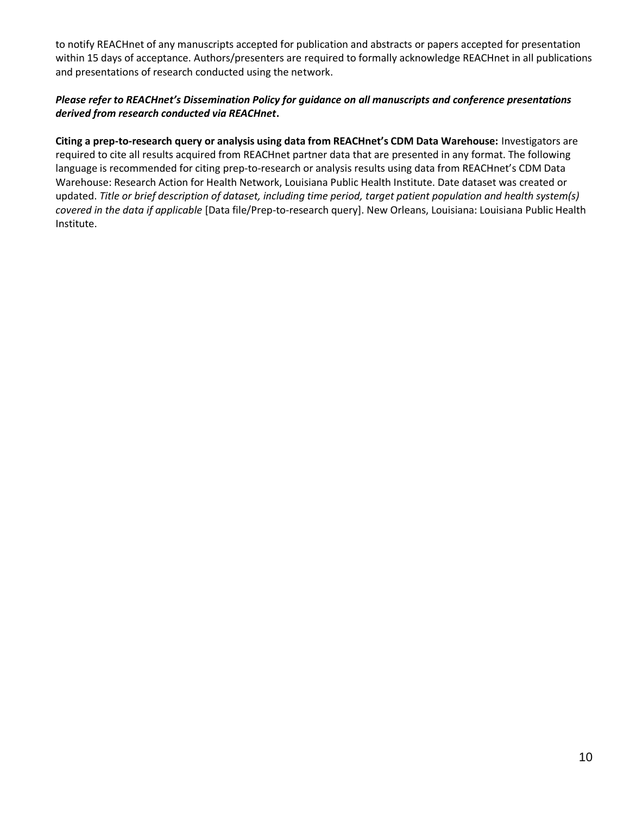to notify REACHnet of any manuscripts accepted for publication and abstracts or papers accepted for presentation within 15 days of acceptance. Authors/presenters are required to formally acknowledge REACHnet in all publications and presentations of research conducted using the network.

#### *Please refer to REACHnet's Dissemination Policy for guidance on all manuscripts and conference presentations derived from research conducted via REACHnet***.**

**Citing a prep-to-research query or analysis using data from REACHnet's CDM Data Warehouse:** Investigators are required to cite all results acquired from REACHnet partner data that are presented in any format. The following language is recommended for citing prep-to-research or analysis results using data from REACHnet's CDM Data Warehouse: Research Action for Health Network, Louisiana Public Health Institute. Date dataset was created or updated. *Title or brief description of dataset, including time period, target patient population and health system(s) covered in the data if applicable* [Data file/Prep-to-research query]. New Orleans, Louisiana: Louisiana Public Health Institute.